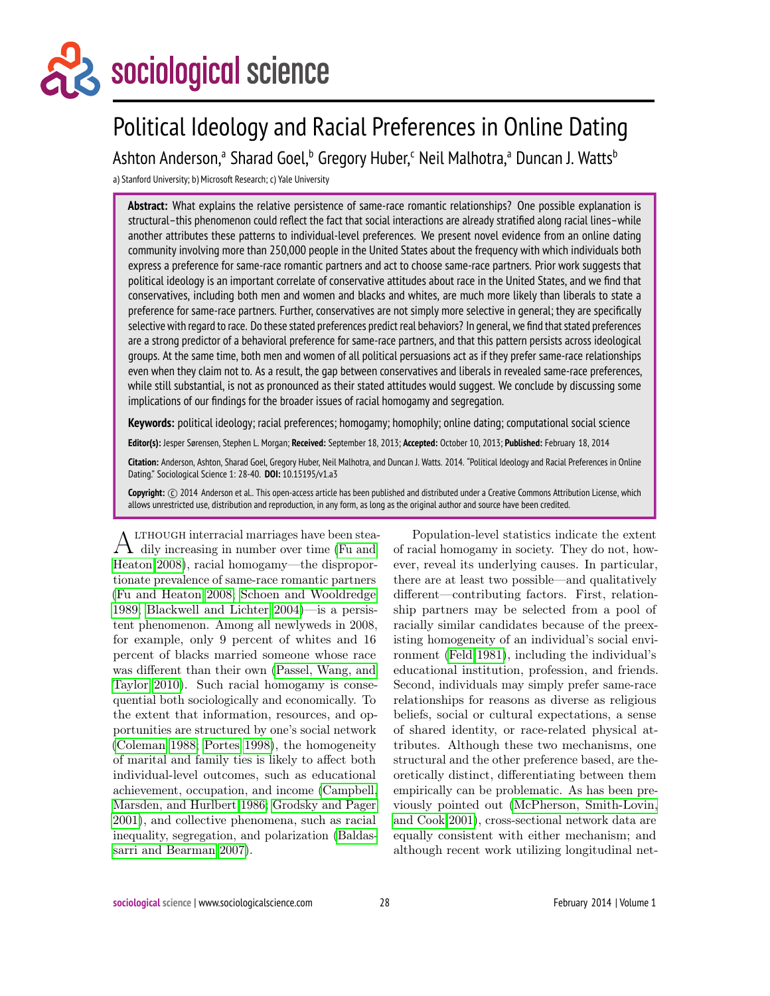# sociological science

# Political Ideology and Racial Preferences in Online Dating

Ashton Anderson,ª Sharad Goel,<sup>b</sup> Gregory Huber,<sup>c</sup> Neil Malhotra,ª Duncan J. Watts<sup>b</sup>

a) Stanford University; b) Microsoft Research; c) Yale University

**Abstract:** What explains the relative persistence of same-race romantic relationships? One possible explanation is structural–this phenomenon could reflect the fact that social interactions are already stratified along racial lines–while another attributes these patterns to individual-level preferences. We present novel evidence from an online dating community involving more than 250,000 people in the United States about the frequency with which individuals both express a preference for same-race romantic partners and act to choose same-race partners. Prior work suggests that political ideology is an important correlate of conservative attitudes about race in the United States, and we find that conservatives, including both men and women and blacks and whites, are much more likely than liberals to state a preference for same-race partners. Further, conservatives are not simply more selective in general; they are specifically selective with regard to race. Do these stated preferences predict real behaviors? In general, we find that stated preferences are a strong predictor of a behavioral preference for same-race partners, and that this pattern persists across ideological groups. At the same time, both men and women of all political persuasions act as if they prefer same-race relationships even when they claim not to. As a result, the gap between conservatives and liberals in revealed same-race preferences, while still substantial, is not as pronounced as their stated attitudes would suggest. We conclude by discussing some implications of our findings for the broader issues of racial homogamy and segregation.

**Keywords:** political ideology; racial preferences; homogamy; homophily; online dating; computational social science

**Editor(s):** Jesper Sørensen, Stephen L. Morgan; **Received:** September 18, 2013; **Accepted:** October 10, 2013; **Published:** February 18, 2014

**Citation:** Anderson, Ashton, Sharad Goel, Gregory Huber, Neil Malhotra, and Duncan J. Watts. 2014. "Political Ideology and Racial Preferences in Online Dating." Sociological Science 1: 28-40. **DOI:** 10.15195/v1.a3

Copyright: C 2014 Anderson et al.. This open-access article has been published and distributed under a Creative Commons Attribution License, which allows unrestricted use, distribution and reproduction, in any form, as long as the original author and source have been credited.

A dily increasing in number over time [\(Fu and](#page-11-0) LTHOUGH interracial marriages have been stea-[Heaton 2008\)](#page-11-0), racial homogamy—the disproportionate prevalence of same-race romantic partners [\(Fu and Heaton 2008;](#page-11-0) [Schoen and Wooldredge](#page-12-0) [1989;](#page-12-0) [Blackwell and Lichter 2004\)](#page-11-1)—is a persistent phenomenon. Among all newlyweds in 2008, for example, only 9 percent of whites and 16 percent of blacks married someone whose race was different than their own [\(Passel, Wang, and](#page-12-1) [Taylor 2010\)](#page-12-1). Such racial homogamy is consequential both sociologically and economically. To the extent that information, resources, and opportunities are structured by one's social network [\(Coleman 1988;](#page-11-2) [Portes 1998\)](#page-12-2), the homogeneity of marital and family ties is likely to affect both individual-level outcomes, such as educational achievement, occupation, and income [\(Campbell,](#page-11-3) [Marsden, and Hurlbert 1986;](#page-11-3) [Grodsky and Pager](#page-11-4) [2001\)](#page-11-4), and collective phenomena, such as racial inequality, segregation, and polarization [\(Baldas](#page-11-5)[sarri and Bearman 2007\)](#page-11-5).

Population-level statistics indicate the extent of racial homogamy in society. They do not, however, reveal its underlying causes. In particular, there are at least two possible—and qualitatively different—contributing factors. First, relationship partners may be selected from a pool of racially similar candidates because of the preexisting homogeneity of an individual's social environment [\(Feld 1981\)](#page-11-6), including the individual's educational institution, profession, and friends. Second, individuals may simply prefer same-race relationships for reasons as diverse as religious beliefs, social or cultural expectations, a sense of shared identity, or race-related physical attributes. Although these two mechanisms, one structural and the other preference based, are theoretically distinct, differentiating between them empirically can be problematic. As has been previously pointed out [\(McPherson, Smith-Lovin,](#page-12-3) [and Cook 2001\)](#page-12-3), cross-sectional network data are equally consistent with either mechanism; and although recent work utilizing longitudinal net-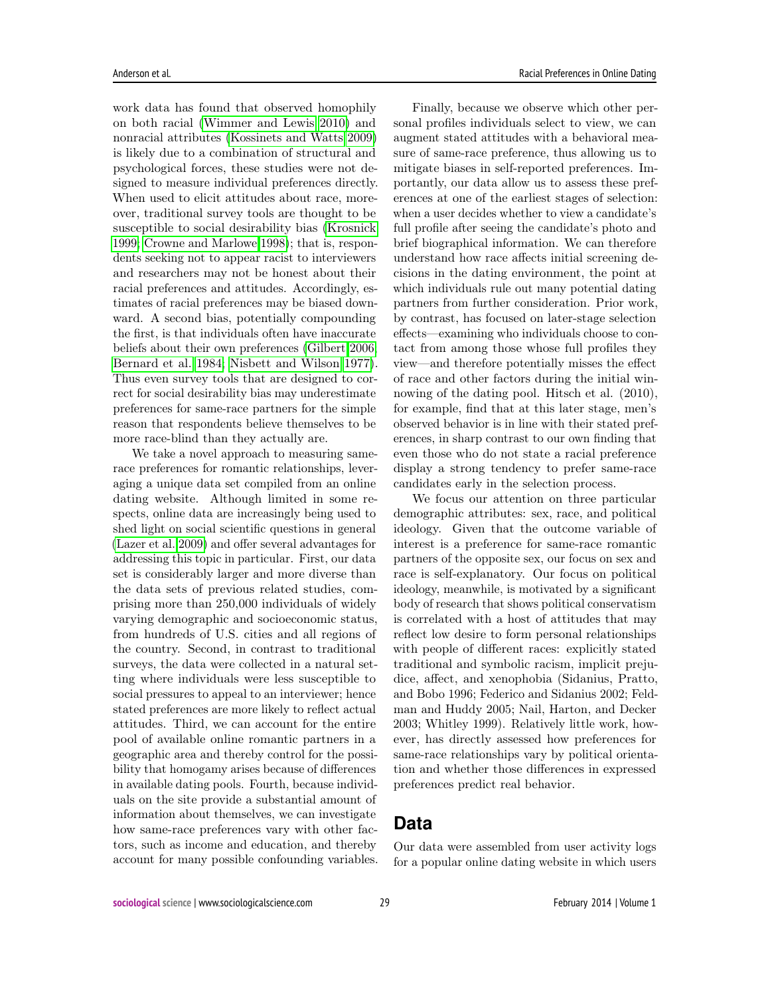work data has found that observed homophily on both racial [\(Wimmer and Lewis 2010\)](#page-12-4) and nonracial attributes [\(Kossinets and Watts 2009\)](#page-11-7) is likely due to a combination of structural and psychological forces, these studies were not designed to measure individual preferences directly. When used to elicit attitudes about race, moreover, traditional survey tools are thought to be susceptible to social desirability bias [\(Krosnick](#page-12-5) [1999;](#page-12-5) [Crowne and Marlowe 1998\)](#page-11-8); that is, respondents seeking not to appear racist to interviewers and researchers may not be honest about their racial preferences and attitudes. Accordingly, estimates of racial preferences may be biased downward. A second bias, potentially compounding the first, is that individuals often have inaccurate beliefs about their own preferences [\(Gilbert 2006;](#page-11-9) [Bernard et al. 1984;](#page-11-10) [Nisbett and Wilson 1977\)](#page-12-6). Thus even survey tools that are designed to correct for social desirability bias may underestimate preferences for same-race partners for the simple reason that respondents believe themselves to be more race-blind than they actually are.

We take a novel approach to measuring samerace preferences for romantic relationships, leveraging a unique data set compiled from an online dating website. Although limited in some respects, online data are increasingly being used to shed light on social scientific questions in general [\(Lazer et al. 2009\)](#page-12-7) and offer several advantages for addressing this topic in particular. First, our data set is considerably larger and more diverse than the data sets of previous related studies, comprising more than 250,000 individuals of widely varying demographic and socioeconomic status, from hundreds of U.S. cities and all regions of the country. Second, in contrast to traditional surveys, the data were collected in a natural setting where individuals were less susceptible to social pressures to appeal to an interviewer; hence stated preferences are more likely to reflect actual attitudes. Third, we can account for the entire pool of available online romantic partners in a geographic area and thereby control for the possibility that homogamy arises because of differences in available dating pools. Fourth, because individuals on the site provide a substantial amount of information about themselves, we can investigate how same-race preferences vary with other factors, such as income and education, and thereby account for many possible confounding variables.

Finally, because we observe which other personal profiles individuals select to view, we can augment stated attitudes with a behavioral measure of same-race preference, thus allowing us to mitigate biases in self-reported preferences. Importantly, our data allow us to assess these preferences at one of the earliest stages of selection: when a user decides whether to view a candidate's full profile after seeing the candidate's photo and brief biographical information. We can therefore understand how race affects initial screening decisions in the dating environment, the point at which individuals rule out many potential dating partners from further consideration. Prior work, by contrast, has focused on later-stage selection effects—examining who individuals choose to contact from among those whose full profiles they view—and therefore potentially misses the effect of race and other factors during the initial winnowing of the dating pool. Hitsch et al.  $(2010)$ , for example, find that at this later stage, men's observed behavior is in line with their stated preferences, in sharp contrast to our own finding that even those who do not state a racial preference display a strong tendency to prefer same-race candidates early in the selection process.

We focus our attention on three particular demographic attributes: sex, race, and political ideology. Given that the outcome variable of interest is a preference for same-race romantic partners of the opposite sex, our focus on sex and race is self-explanatory. Our focus on political ideology, meanwhile, is motivated by a significant body of research that shows political conservatism is correlated with a host of attitudes that may reflect low desire to form personal relationships with people of different races: explicitly stated traditional and symbolic racism, implicit prejudice, affect, and xenophobia (Sidanius, Pratto, and Bobo 1996; Federico and Sidanius 2002; Feldman and Huddy 2005; Nail, Harton, and Decker 2003; Whitley 1999). Relatively little work, however, has directly assessed how preferences for same-race relationships vary by political orientation and whether those differences in expressed preferences predict real behavior.

# **Data**

Our data were assembled from user activity logs for a popular online dating website in which users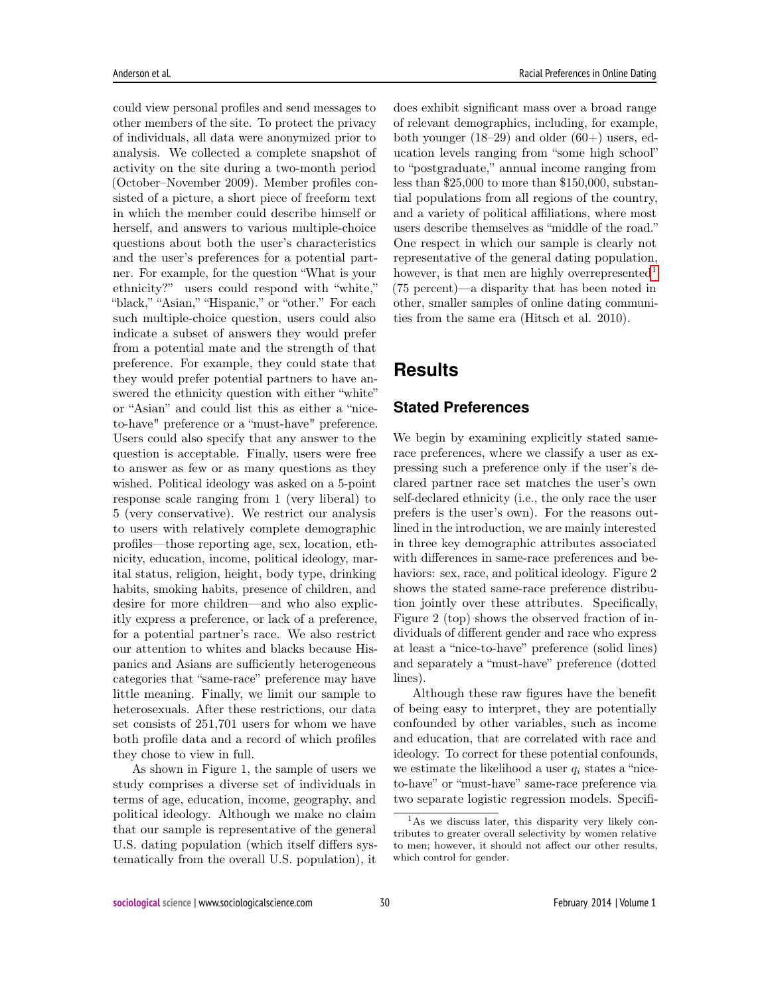could view personal profiles and send messages to other members of the site. To protect the privacy of individuals, all data were anonymized prior to analysis. We collected a complete snapshot of activity on the site during a two-month period (October–November 2009). Member profiles consisted of a picture, a short piece of freeform text in which the member could describe himself or herself, and answers to various multiple-choice questions about both the user's characteristics and the user's preferences for a potential partner. For example, for the question "What is your ethnicity?" users could respond with "white," "black," "Asian," "Hispanic," or "other." For each such multiple-choice question, users could also indicate a subset of answers they would prefer from a potential mate and the strength of that preference. For example, they could state that they would prefer potential partners to have answered the ethnicity question with either "white" or "Asian" and could list this as either a "niceto-have" preference or a "must-have" preference. Users could also specify that any answer to the question is acceptable. Finally, users were free to answer as few or as many questions as they wished. Political ideology was asked on a 5-point response scale ranging from 1 (very liberal) to 5 (very conservative). We restrict our analysis to users with relatively complete demographic profiles—those reporting age, sex, location, ethnicity, education, income, political ideology, marital status, religion, height, body type, drinking habits, smoking habits, presence of children, and desire for more children—and who also explicitly express a preference, or lack of a preference, for a potential partner's race. We also restrict our attention to whites and blacks because Hispanics and Asians are sufficiently heterogeneous categories that "same-race" preference may have little meaning. Finally, we limit our sample to heterosexuals. After these restrictions, our data set consists of 251,701 users for whom we have both profile data and a record of which profiles they chose to view in full.

As shown in Figure 1, the sample of users we study comprises a diverse set of individuals in terms of age, education, income, geography, and political ideology. Although we make no claim that our sample is representative of the general U.S. dating population (which itself differs systematically from the overall U.S. population), it does exhibit significant mass over a broad range of relevant demographics, including, for example, both younger (18–29) and older (60+) users, education levels ranging from "some high school" to "postgraduate," annual income ranging from less than \$25,000 to more than \$150,000, substantial populations from all regions of the country, and a variety of political affiliations, where most users describe themselves as "middle of the road." One respect in which our sample is clearly not representative of the general dating population, however, is that men are highly overrepresented<sup>[1](#page-2-0)</sup> (75 percent)—a disparity that has been noted in other, smaller samples of online dating communities from the same era (Hitsch et al. 2010).

### **Results**

#### **Stated Preferences**

We begin by examining explicitly stated samerace preferences, where we classify a user as expressing such a preference only if the user's declared partner race set matches the user's own self-declared ethnicity (i.e., the only race the user prefers is the user's own). For the reasons outlined in the introduction, we are mainly interested in three key demographic attributes associated with differences in same-race preferences and behaviors: sex, race, and political ideology. Figure 2 shows the stated same-race preference distribution jointly over these attributes. Specifically, Figure 2 (top) shows the observed fraction of individuals of different gender and race who express at least a "nice-to-have" preference (solid lines) and separately a "must-have" preference (dotted lines).

Although these raw figures have the benefit of being easy to interpret, they are potentially confounded by other variables, such as income and education, that are correlated with race and ideology. To correct for these potential confounds, we estimate the likelihood a user  $q_i$  states a "niceto-have" or "must-have" same-race preference via two separate logistic regression models. Specifi-

<span id="page-2-0"></span><sup>1</sup>As we discuss later, this disparity very likely contributes to greater overall selectivity by women relative to men; however, it should not affect our other results, which control for gender.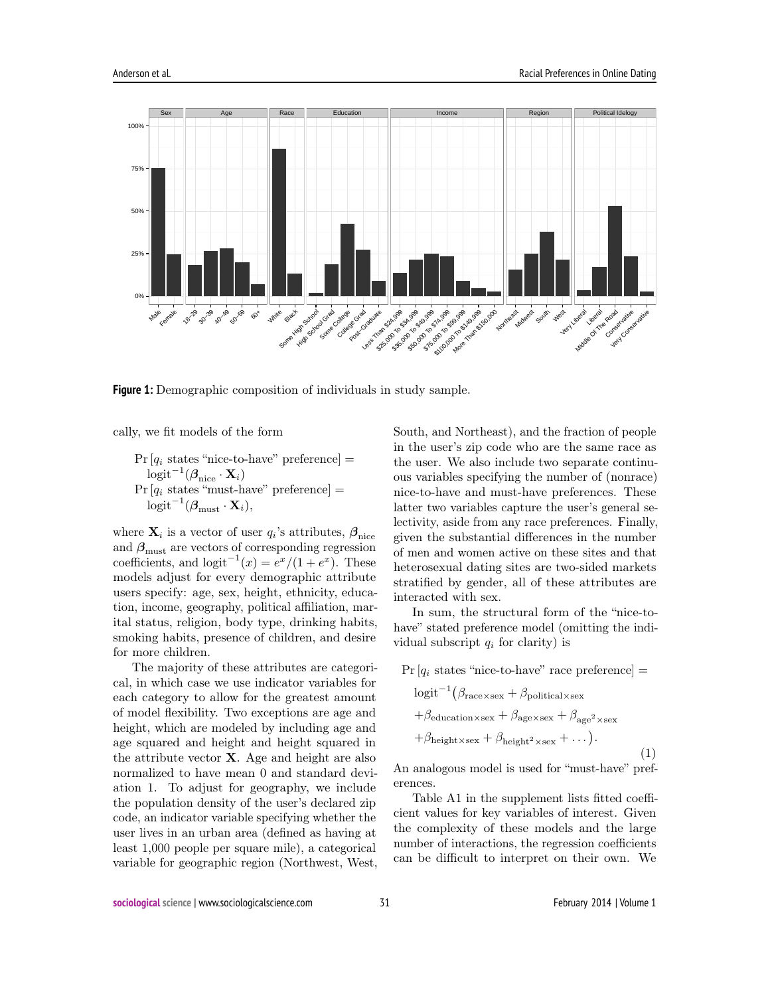

**Figure 1:** Demographic composition of individuals in study sample.

cally, we fit models of the form

 $Pr [q_i \text{ states "nice-to-have" preference}] =$  $\text{logit}^{-1}(\boldsymbol{\beta}_{\text{nice}}\cdot \mathbf{X}_i)$  $Pr\left[q_i \right]$  states "must-have" preference] =  $\text{logit}^{-1}(\boldsymbol \beta_{\text{must}}\cdot \mathbf{X}_i),$ 

where  $\mathbf{X}_i$  is a vector of user  $q_i$ 's attributes,  $\boldsymbol{\beta}_{\text{nice}}$ and  $\beta_{\text{must}}$  are vectors of corresponding regression coefficients, and  $logit^{-1}(x) = e^x/(1+e^x)$ . These models adjust for every demographic attribute users specify: age, sex, height, ethnicity, education, income, geography, political affiliation, marital status, religion, body type, drinking habits, smoking habits, presence of children, and desire for more children.

The majority of these attributes are categorical, in which case we use indicator variables for each category to allow for the greatest amount of model flexibility. Two exceptions are age and height, which are modeled by including age and age squared and height and height squared in the attribute vector  $X$ . Age and height are also normalized to have mean 0 and standard deviation 1. To adjust for geography, we include the population density of the user's declared zip code, an indicator variable specifying whether the user lives in an urban area (defined as having at least 1,000 people per square mile), a categorical variable for geographic region (Northwest, West, South, and Northeast), and the fraction of people in the user's zip code who are the same race as the user. We also include two separate continuous variables specifying the number of (nonrace) nice-to-have and must-have preferences. These latter two variables capture the user's general selectivity, aside from any race preferences. Finally, given the substantial differences in the number of men and women active on these sites and that heterosexual dating sites are two-sided markets stratified by gender, all of these attributes are interacted with sex.

In sum, the structural form of the "nice-tohave" stated preference model (omitting the individual subscript  $q_i$  for clarity) is

$$
\Pr\left[q_i \text{ states "nice-to-have" race preference}\right] =\n\log\text{i}^{-1}\left(\beta_{\text{race}\times\text{sex}} + \beta_{\text{political}\times\text{sex}}\right.\n\left. + \beta_{\text{electron}\times\text{sex}} + \beta_{\text{age}\times\text{sex}} + \beta_{\text{age}^2\times\text{sex}}\right.\n\left. + \beta_{\text{height}\times\text{sex}} + \beta_{\text{height}^2\times\text{sex}} + \dots\right).
$$
\n(1)

An analogous model is used for "must-have" preferences.

Table A1 in the supplement lists fitted coefficient values for key variables of interest. Given the complexity of these models and the large number of interactions, the regression coefficients can be difficult to interpret on their own. We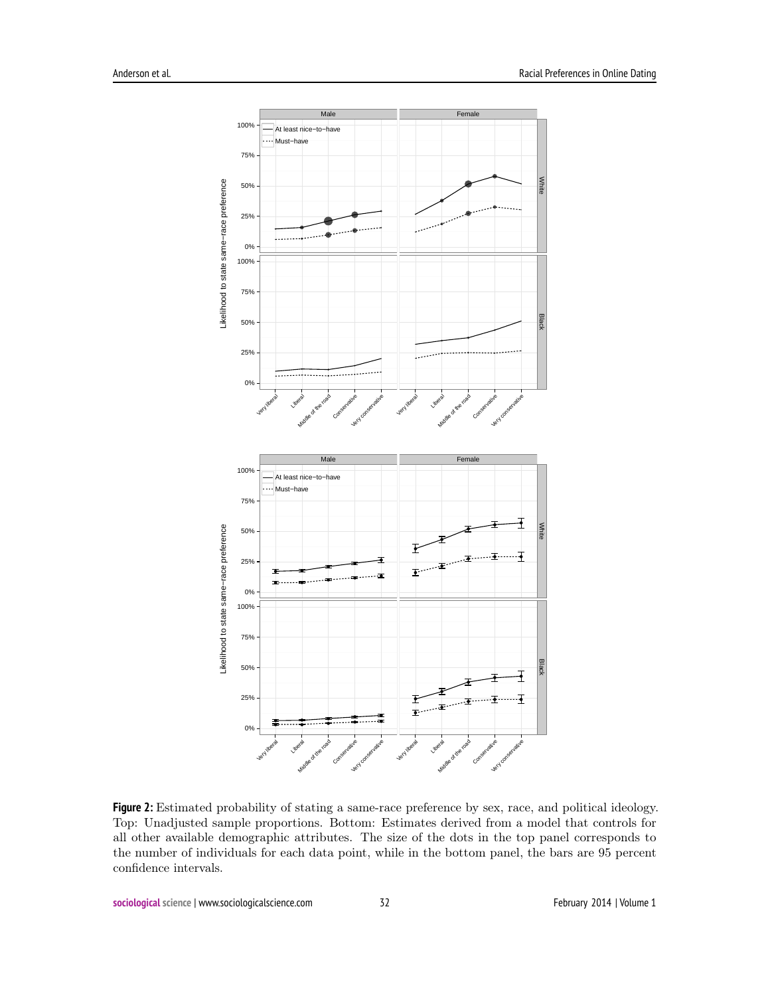

**Figure 2:** Estimated probability of stating a same-race preference by sex, race, and political ideology. Top: Unadjusted sample proportions. Bottom: Estimates derived from a model that controls for all other available demographic attributes. The size of the dots in the top panel corresponds to the number of individuals for each data point, while in the bottom panel, the bars are 95 percent confidence intervals.

**sociological science | www.sociologicalscience.com 32 52 February 2014 | Volume 1**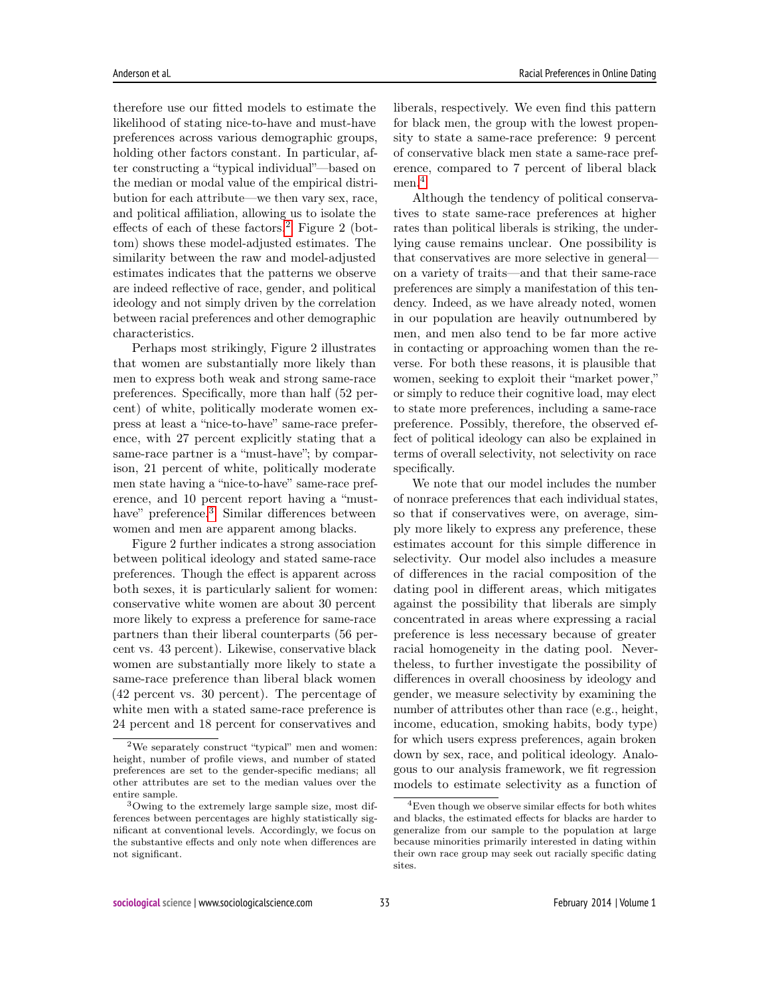therefore use our fitted models to estimate the likelihood of stating nice-to-have and must-have preferences across various demographic groups, holding other factors constant. In particular, after constructing a "typical individual"—based on the median or modal value of the empirical distribution for each attribute—we then vary sex, race, and political affiliation, allowing us to isolate the effects of each of these factors.<sup>[2](#page-5-0)</sup> Figure 2 (bottom) shows these model-adjusted estimates. The similarity between the raw and model-adjusted estimates indicates that the patterns we observe are indeed reflective of race, gender, and political ideology and not simply driven by the correlation between racial preferences and other demographic characteristics.

Perhaps most strikingly, Figure 2 illustrates that women are substantially more likely than men to express both weak and strong same-race preferences. Specifically, more than half (52 percent) of white, politically moderate women express at least a "nice-to-have" same-race preference, with 27 percent explicitly stating that a same-race partner is a "must-have"; by comparison, 21 percent of white, politically moderate men state having a "nice-to-have" same-race preference, and 10 percent report having a "must-have" preference.<sup>[3](#page-5-1)</sup> Similar differences between women and men are apparent among blacks.

Figure 2 further indicates a strong association between political ideology and stated same-race preferences. Though the effect is apparent across both sexes, it is particularly salient for women: conservative white women are about 30 percent more likely to express a preference for same-race partners than their liberal counterparts (56 percent vs. 43 percent). Likewise, conservative black women are substantially more likely to state a same-race preference than liberal black women (42 percent vs. 30 percent). The percentage of white men with a stated same-race preference is 24 percent and 18 percent for conservatives and

liberals, respectively. We even find this pattern for black men, the group with the lowest propensity to state a same-race preference: 9 percent of conservative black men state a same-race preference, compared to 7 percent of liberal black men.<sup>[4](#page-5-2)</sup>

Although the tendency of political conservatives to state same-race preferences at higher rates than political liberals is striking, the underlying cause remains unclear. One possibility is that conservatives are more selective in general on a variety of traits—and that their same-race preferences are simply a manifestation of this tendency. Indeed, as we have already noted, women in our population are heavily outnumbered by men, and men also tend to be far more active in contacting or approaching women than the reverse. For both these reasons, it is plausible that women, seeking to exploit their "market power," or simply to reduce their cognitive load, may elect to state more preferences, including a same-race preference. Possibly, therefore, the observed effect of political ideology can also be explained in terms of overall selectivity, not selectivity on race specifically.

We note that our model includes the number of nonrace preferences that each individual states, so that if conservatives were, on average, simply more likely to express any preference, these estimates account for this simple difference in selectivity. Our model also includes a measure of differences in the racial composition of the dating pool in different areas, which mitigates against the possibility that liberals are simply concentrated in areas where expressing a racial preference is less necessary because of greater racial homogeneity in the dating pool. Nevertheless, to further investigate the possibility of differences in overall choosiness by ideology and gender, we measure selectivity by examining the number of attributes other than race (e.g., height, income, education, smoking habits, body type) for which users express preferences, again broken down by sex, race, and political ideology. Analogous to our analysis framework, we fit regression models to estimate selectivity as a function of

<span id="page-5-0"></span><sup>2</sup>We separately construct "typical" men and women: height, number of profile views, and number of stated preferences are set to the gender-specific medians; all other attributes are set to the median values over the entire sample.

<span id="page-5-1"></span><sup>3</sup>Owing to the extremely large sample size, most differences between percentages are highly statistically significant at conventional levels. Accordingly, we focus on the substantive effects and only note when differences are not significant.

<span id="page-5-2"></span><sup>4</sup>Even though we observe similar effects for both whites and blacks, the estimated effects for blacks are harder to generalize from our sample to the population at large because minorities primarily interested in dating within their own race group may seek out racially specific dating sites.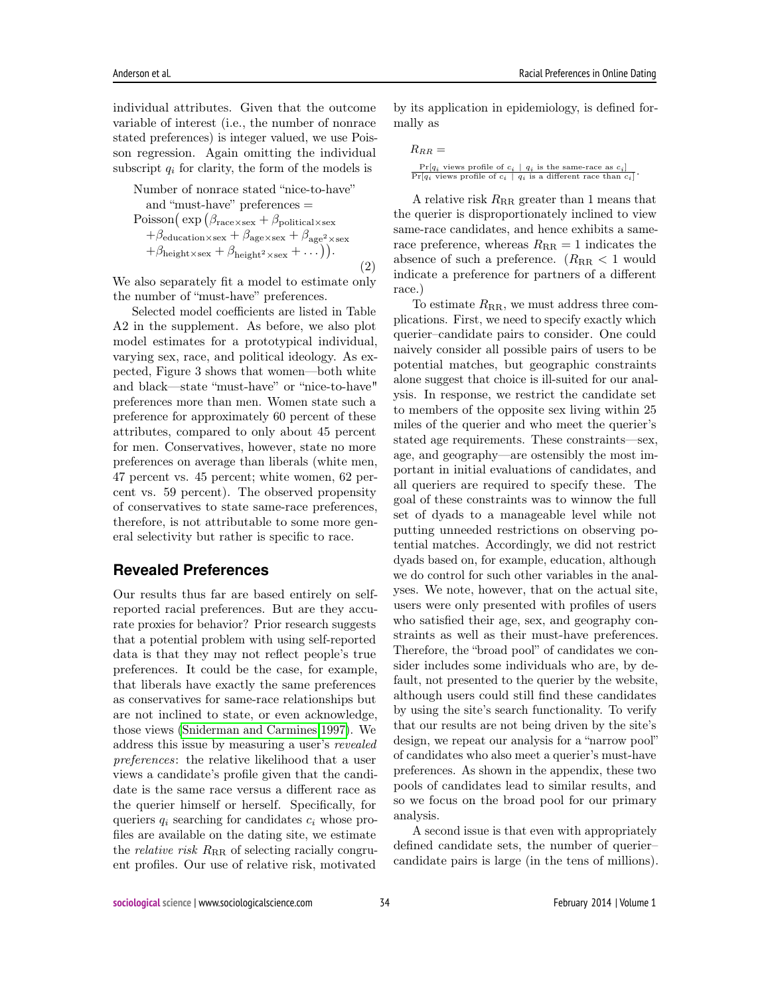individual attributes. Given that the outcome variable of interest (i.e., the number of nonrace stated preferences) is integer valued, we use Poisson regression. Again omitting the individual subscript  $q_i$  for clarity, the form of the models is

Number of nonrace stated "nice-to-have"  
\nand "must-have" preferences =  
\nPoisson(
$$
\exp (\beta_{\text{race}\times \text{sex}} + \beta_{\text{political}\times \text{sex}} + \beta_{\text{de}} + \beta_{\text{deduction}\times \text{sex}} + \beta_{\text{age}\times \text{sex}} + \beta_{\text{height}^2 \times \text{sex}} + \beta_{\text{height}^2 \times \text{sex}} + \dots)
$$
) (2)

We also separately fit a model to estimate only the number of "must-have" preferences.

Selected model coefficients are listed in Table A2 in the supplement. As before, we also plot model estimates for a prototypical individual, varying sex, race, and political ideology. As expected, Figure 3 shows that women—both white and black—state "must-have" or "nice-to-have" preferences more than men. Women state such a preference for approximately 60 percent of these attributes, compared to only about 45 percent for men. Conservatives, however, state no more preferences on average than liberals (white men, 47 percent vs. 45 percent; white women, 62 percent vs. 59 percent). The observed propensity of conservatives to state same-race preferences, therefore, is not attributable to some more general selectivity but rather is specific to race.

#### **Revealed Preferences**

Our results thus far are based entirely on selfreported racial preferences. But are they accurate proxies for behavior? Prior research suggests that a potential problem with using self-reported data is that they may not reflect people's true preferences. It could be the case, for example, that liberals have exactly the same preferences as conservatives for same-race relationships but are not inclined to state, or even acknowledge, those views [\(Sniderman and Carmines 1997\)](#page-12-8). We address this issue by measuring a user's revealed preferences: the relative likelihood that a user views a candidate's profile given that the candidate is the same race versus a different race as the querier himself or herself. Specifically, for queriers  $q_i$  searching for candidates  $c_i$  whose profiles are available on the dating site, we estimate the *relative risk*  $R_{RR}$  of selecting racially congruent profiles. Our use of relative risk, motivated

by its application in epidemiology, is defined formally as

| $R_{BB} =$                                                                  |
|-----------------------------------------------------------------------------|
| $Pr[q_i]$ views profile of $c_i   q_i$ is the same-race as $c_i$            |
| $\Pr[q_i]$ views profile of $c_i \mid q_i$ is a different race than $c_i$ . |

A relative risk  $R_{\rm RR}$  greater than 1 means that the querier is disproportionately inclined to view same-race candidates, and hence exhibits a samerace preference, whereas  $R_{\rm RR} = 1$  indicates the absence of such a preference.  $(R_{RR} < 1$  would indicate a preference for partners of a different race.)

To estimate  $R_{\rm RR}$ , we must address three complications. First, we need to specify exactly which querier–candidate pairs to consider. One could naively consider all possible pairs of users to be potential matches, but geographic constraints alone suggest that choice is ill-suited for our analysis. In response, we restrict the candidate set to members of the opposite sex living within 25 miles of the querier and who meet the querier's stated age requirements. These constraints—sex, age, and geography—are ostensibly the most important in initial evaluations of candidates, and all queriers are required to specify these. The goal of these constraints was to winnow the full set of dyads to a manageable level while not putting unneeded restrictions on observing potential matches. Accordingly, we did not restrict dyads based on, for example, education, although we do control for such other variables in the analyses. We note, however, that on the actual site, users were only presented with profiles of users who satisfied their age, sex, and geography constraints as well as their must-have preferences. Therefore, the "broad pool" of candidates we consider includes some individuals who are, by default, not presented to the querier by the website, although users could still find these candidates by using the site's search functionality. To verify that our results are not being driven by the site's design, we repeat our analysis for a "narrow pool" of candidates who also meet a querier's must-have preferences. As shown in the appendix, these two pools of candidates lead to similar results, and so we focus on the broad pool for our primary analysis.

A second issue is that even with appropriately defined candidate sets, the number of querier– candidate pairs is large (in the tens of millions).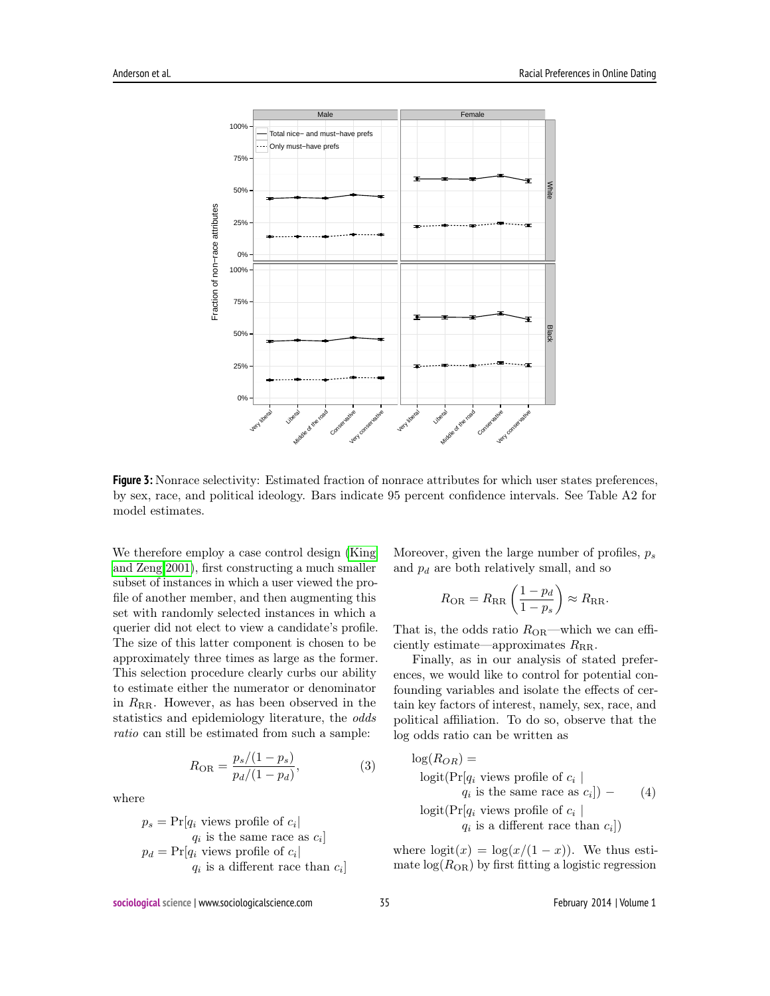

**Figure 3:** Nonrace selectivity: Estimated fraction of nonrace attributes for which user states preferences, by sex, race, and political ideology. Bars indicate 95 percent confidence intervals. See Table A2 for model estimates.

We therefore employ a case control design [\(King](#page-11-11) [and Zeng 2001\)](#page-11-11), first constructing a much smaller subset of instances in which a user viewed the profile of another member, and then augmenting this set with randomly selected instances in which a querier did not elect to view a candidate's profile. The size of this latter component is chosen to be approximately three times as large as the former. This selection procedure clearly curbs our ability to estimate either the numerator or denominator in  $R_{RR}$ . However, as has been observed in the statistics and epidemiology literature, the odds ratio can still be estimated from such a sample:

$$
R_{\rm OR} = \frac{p_s/(1-p_s)}{p_d/(1-p_d)},\tag{3}
$$

where

$$
p_s = \Pr[q_i \text{ views profile of } c_i |
$$
  
\n
$$
q_i \text{ is the same race as } c_i]
$$
  
\n
$$
p_d = \Pr[q_i \text{ views profile of } c_i |
$$
  
\n
$$
q_i \text{ is a different race than } c_i]
$$

Moreover, given the large number of profiles,  $p_s$ and  $p_d$  are both relatively small, and so

$$
R_{\rm OR} = R_{\rm RR} \left( \frac{1 - p_d}{1 - p_s} \right) \approx R_{\rm RR}.
$$

That is, the odds ratio  $R_{OR}$ —which we can efficiently estimate—approximates  $R_{\text{RR}}$ .

Finally, as in our analysis of stated preferences, we would like to control for potential confounding variables and isolate the effects of certain key factors of interest, namely, sex, race, and political affiliation. To do so, observe that the log odds ratio can be written as

<span id="page-7-0"></span>
$$
log(R_{OR}) =
$$
  
\n
$$
logit(Pr[q_i \text{ views profile of } c_i |
$$
  
\n
$$
q_i \text{ is the same race as } c_i]) -
$$
  
\n
$$
logit(Pr[q_i \text{ views profile of } c_i |
$$
  
\n
$$
q_i \text{ is a different race than } c_i])
$$

where  $logit(x) = log(x/(1-x))$ . We thus estimate  $log(R_{OR})$  by first fitting a logistic regression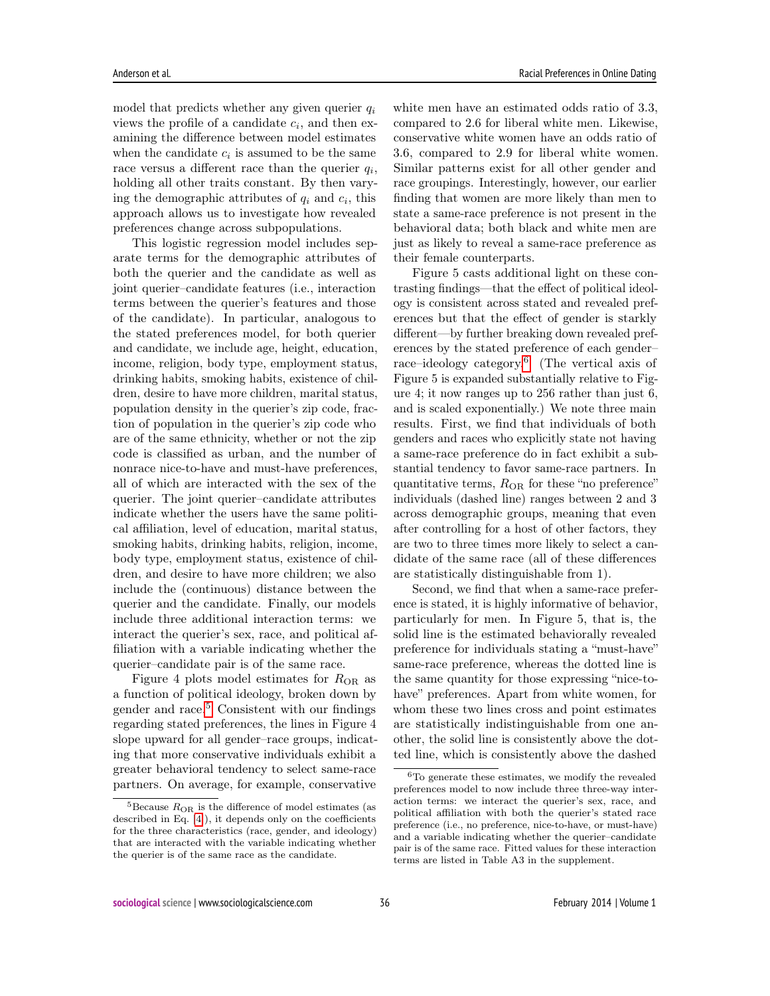model that predicts whether any given querier  $q_i$ views the profile of a candidate  $c_i$ , and then examining the difference between model estimates when the candidate  $c_i$  is assumed to be the same race versus a different race than the querier  $q_i$ , holding all other traits constant. By then varying the demographic attributes of  $q_i$  and  $c_i$ , this approach allows us to investigate how revealed preferences change across subpopulations.

This logistic regression model includes separate terms for the demographic attributes of both the querier and the candidate as well as joint querier–candidate features (i.e., interaction terms between the querier's features and those of the candidate). In particular, analogous to the stated preferences model, for both querier and candidate, we include age, height, education, income, religion, body type, employment status, drinking habits, smoking habits, existence of children, desire to have more children, marital status, population density in the querier's zip code, fraction of population in the querier's zip code who are of the same ethnicity, whether or not the zip code is classified as urban, and the number of nonrace nice-to-have and must-have preferences, all of which are interacted with the sex of the querier. The joint querier–candidate attributes indicate whether the users have the same political affiliation, level of education, marital status, smoking habits, drinking habits, religion, income, body type, employment status, existence of children, and desire to have more children; we also include the (continuous) distance between the querier and the candidate. Finally, our models include three additional interaction terms: we interact the querier's sex, race, and political affiliation with a variable indicating whether the querier–candidate pair is of the same race.

Figure 4 plots model estimates for  $R_{OR}$  as a function of political ideology, broken down by gender and race. $5$  Consistent with our findings regarding stated preferences, the lines in Figure 4 slope upward for all gender–race groups, indicating that more conservative individuals exhibit a greater behavioral tendency to select same-race partners. On average, for example, conservative

white men have an estimated odds ratio of 3.3, compared to 2.6 for liberal white men. Likewise, conservative white women have an odds ratio of 3.6, compared to 2.9 for liberal white women. Similar patterns exist for all other gender and race groupings. Interestingly, however, our earlier finding that women are more likely than men to state a same-race preference is not present in the behavioral data; both black and white men are just as likely to reveal a same-race preference as their female counterparts.

Figure 5 casts additional light on these contrasting findings—that the effect of political ideology is consistent across stated and revealed preferences but that the effect of gender is starkly different—by further breaking down revealed preferences by the stated preference of each gender– race–ideology category.[6](#page-8-1) (The vertical axis of Figure 5 is expanded substantially relative to Figure 4; it now ranges up to 256 rather than just 6, and is scaled exponentially.) We note three main results. First, we find that individuals of both genders and races who explicitly state not having a same-race preference do in fact exhibit a substantial tendency to favor same-race partners. In quantitative terms,  $R_{OR}$  for these "no preference" individuals (dashed line) ranges between 2 and 3 across demographic groups, meaning that even after controlling for a host of other factors, they are two to three times more likely to select a candidate of the same race (all of these differences are statistically distinguishable from 1).

Second, we find that when a same-race preference is stated, it is highly informative of behavior, particularly for men. In Figure 5, that is, the solid line is the estimated behaviorally revealed preference for individuals stating a "must-have" same-race preference, whereas the dotted line is the same quantity for those expressing "nice-tohave" preferences. Apart from white women, for whom these two lines cross and point estimates are statistically indistinguishable from one another, the solid line is consistently above the dotted line, which is consistently above the dashed

<span id="page-8-0"></span> ${}^{5}$ Because  $R_{OR}$  is the difference of model estimates (as described in Eq. [\[4\]](#page-7-0)), it depends only on the coefficients for the three characteristics (race, gender, and ideology) that are interacted with the variable indicating whether the querier is of the same race as the candidate.

<span id="page-8-1"></span><sup>6</sup>To generate these estimates, we modify the revealed preferences model to now include three three-way interaction terms: we interact the querier's sex, race, and political affiliation with both the querier's stated race preference (i.e., no preference, nice-to-have, or must-have) and a variable indicating whether the querier–candidate pair is of the same race. Fitted values for these interaction terms are listed in Table A3 in the supplement.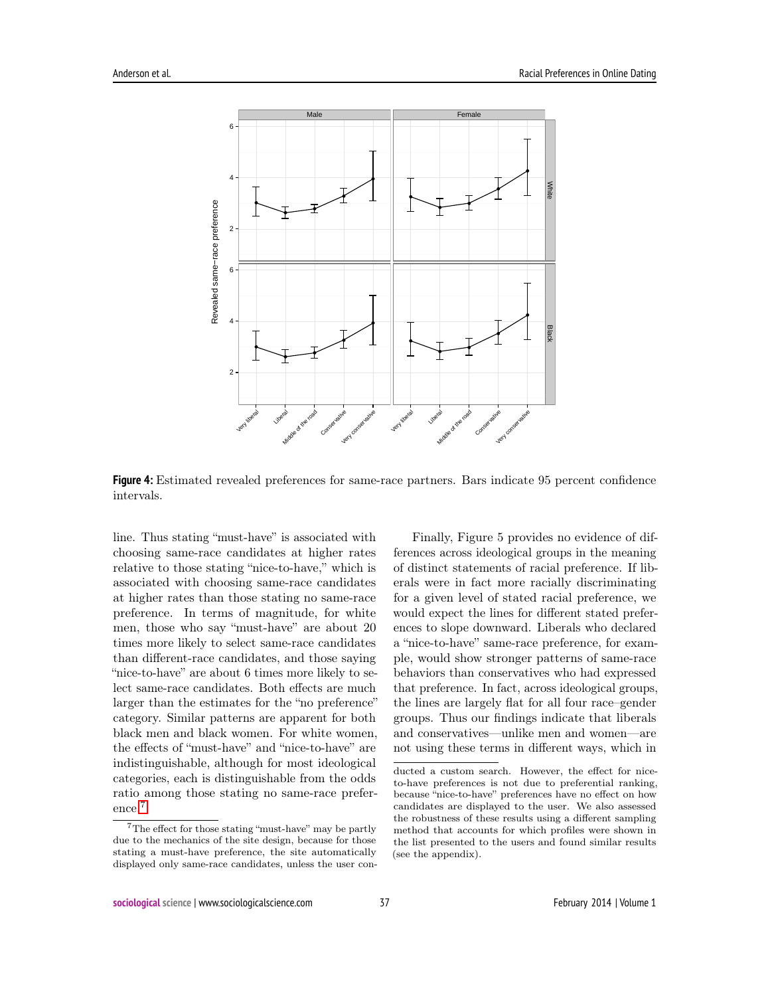

**Figure 4:** Estimated revealed preferences for same-race partners. Bars indicate 95 percent confidence intervals.

line. Thus stating "must-have" is associated with choosing same-race candidates at higher rates relative to those stating "nice-to-have," which is associated with choosing same-race candidates at higher rates than those stating no same-race preference. In terms of magnitude, for white men, those who say "must-have" are about 20 times more likely to select same-race candidates than different-race candidates, and those saying "nice-to-have" are about 6 times more likely to select same-race candidates. Both effects are much larger than the estimates for the "no preference" category. Similar patterns are apparent for both black men and black women. For white women, the effects of "must-have" and "nice-to-have" are indistinguishable, although for most ideological categories, each is distinguishable from the odds ratio among those stating no same-race preference.[7](#page-9-0)

Finally, Figure 5 provides no evidence of differences across ideological groups in the meaning of distinct statements of racial preference. If liberals were in fact more racially discriminating for a given level of stated racial preference, we would expect the lines for different stated preferences to slope downward. Liberals who declared a "nice-to-have" same-race preference, for example, would show stronger patterns of same-race behaviors than conservatives who had expressed that preference. In fact, across ideological groups, the lines are largely flat for all four race–gender groups. Thus our findings indicate that liberals and conservatives—unlike men and women—are not using these terms in different ways, which in

<span id="page-9-0"></span> ${\rm ^7The}$  effect for those stating "must-have" may be partly due to the mechanics of the site design, because for those stating a must-have preference, the site automatically displayed only same-race candidates, unless the user con-

ducted a custom search. However, the effect for niceto-have preferences is not due to preferential ranking, because "nice-to-have" preferences have no effect on how candidates are displayed to the user. We also assessed the robustness of these results using a different sampling method that accounts for which profiles were shown in the list presented to the users and found similar results (see the appendix).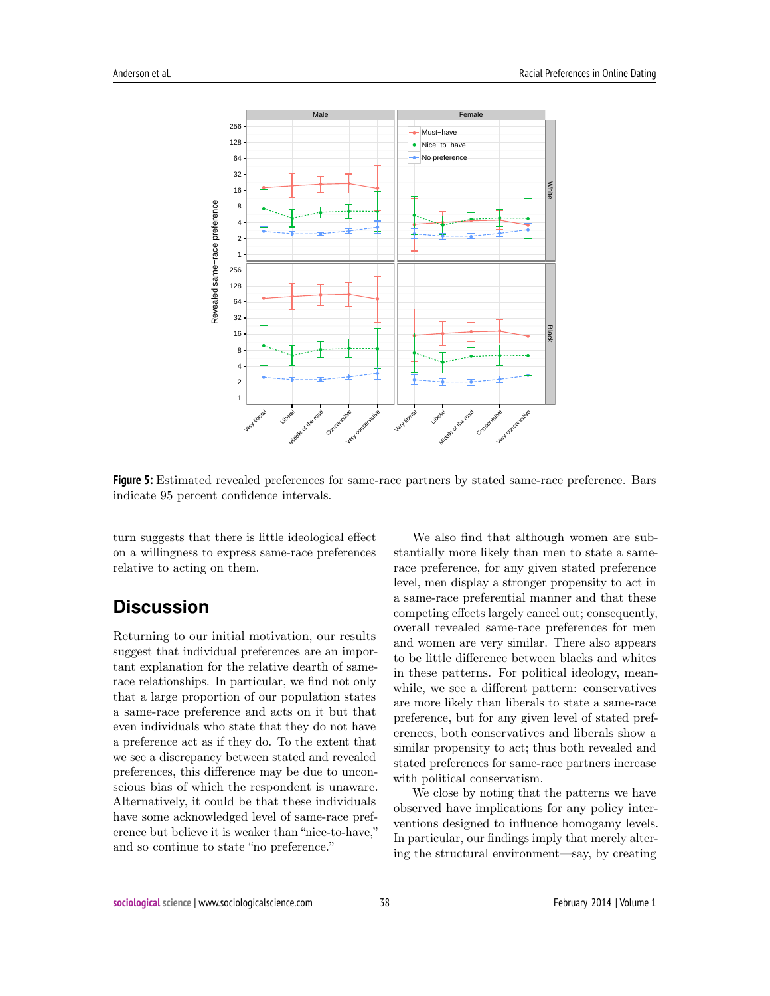

**Figure 5:** Estimated revealed preferences for same-race partners by stated same-race preference. Bars indicate 95 percent confidence intervals.

turn suggests that there is little ideological effect on a willingness to express same-race preferences relative to acting on them.

# **Discussion**

Returning to our initial motivation, our results suggest that individual preferences are an important explanation for the relative dearth of samerace relationships. In particular, we find not only that a large proportion of our population states a same-race preference and acts on it but that even individuals who state that they do not have a preference act as if they do. To the extent that we see a discrepancy between stated and revealed preferences, this difference may be due to unconscious bias of which the respondent is unaware. Alternatively, it could be that these individuals have some acknowledged level of same-race preference but believe it is weaker than "nice-to-have," and so continue to state "no preference."

We also find that although women are substantially more likely than men to state a samerace preference, for any given stated preference level, men display a stronger propensity to act in a same-race preferential manner and that these competing effects largely cancel out; consequently, overall revealed same-race preferences for men and women are very similar. There also appears to be little difference between blacks and whites in these patterns. For political ideology, meanwhile, we see a different pattern: conservatives are more likely than liberals to state a same-race preference, but for any given level of stated preferences, both conservatives and liberals show a similar propensity to act; thus both revealed and stated preferences for same-race partners increase with political conservatism.

We close by noting that the patterns we have observed have implications for any policy interventions designed to influence homogamy levels. In particular, our findings imply that merely altering the structural environment—say, by creating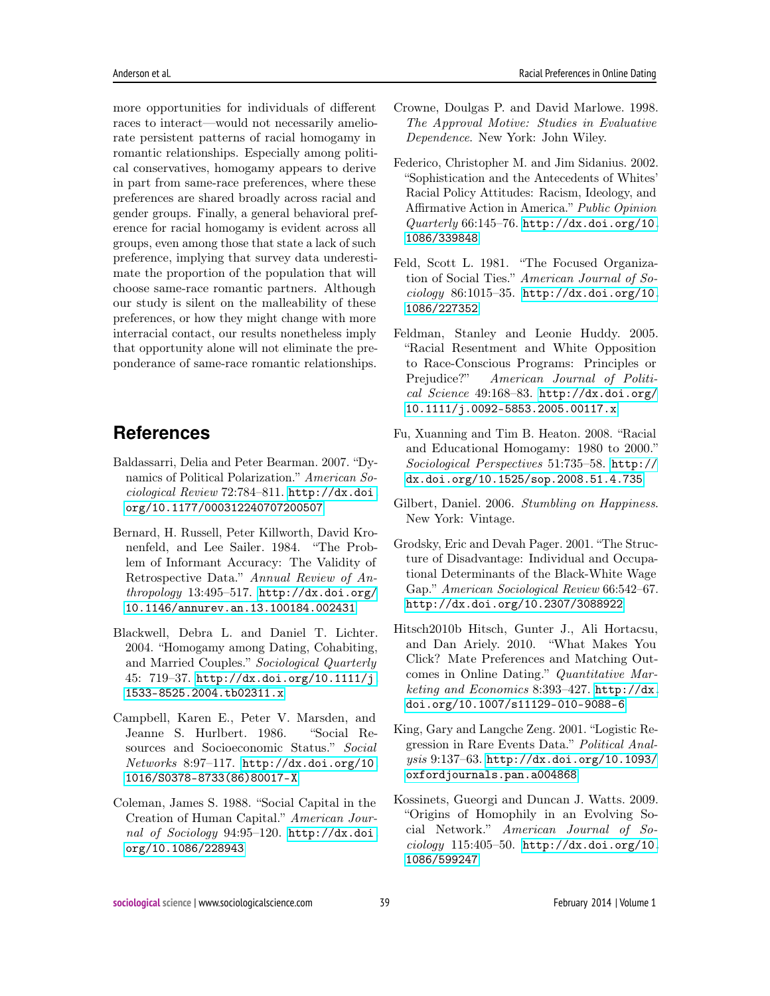more opportunities for individuals of different races to interact—would not necessarily ameliorate persistent patterns of racial homogamy in romantic relationships. Especially among political conservatives, homogamy appears to derive in part from same-race preferences, where these preferences are shared broadly across racial and gender groups. Finally, a general behavioral preference for racial homogamy is evident across all groups, even among those that state a lack of such preference, implying that survey data underestimate the proportion of the population that will choose same-race romantic partners. Although our study is silent on the malleability of these preferences, or how they might change with more

interracial contact, our results nonetheless imply that opportunity alone will not eliminate the preponderance of same-race romantic relationships.

# **References**

- <span id="page-11-5"></span>Baldassarri, Delia and Peter Bearman. 2007. "Dynamics of Political Polarization." American Sociological Review 72:784–811. [http://dx.doi.](http://dx.doi.org/10.1177/000312240707200507) [org/10.1177/000312240707200507](http://dx.doi.org/10.1177/000312240707200507)
- <span id="page-11-10"></span>Bernard, H. Russell, Peter Killworth, David Kronenfeld, and Lee Sailer. 1984. "The Problem of Informant Accuracy: The Validity of Retrospective Data." Annual Review of Anthropology 13:495–517. [http://dx.doi.org/](http://dx.doi.org/10.1146/annurev.an.13.100184.002431) [10.1146/annurev.an.13.100184.002431](http://dx.doi.org/10.1146/annurev.an.13.100184.002431)
- <span id="page-11-1"></span>Blackwell, Debra L. and Daniel T. Lichter. 2004. "Homogamy among Dating, Cohabiting, and Married Couples." Sociological Quarterly 45: 719–37. [http://dx.doi.org/10.1111/j.](http://dx.doi.org/10.1111/j.1533-8525.2004.tb02311.x) [1533-8525.2004.tb02311.x](http://dx.doi.org/10.1111/j.1533-8525.2004.tb02311.x)
- <span id="page-11-3"></span>Campbell, Karen E., Peter V. Marsden, and Jeanne S. Hurlbert. 1986. "Social Resources and Socioeconomic Status." Social Networks 8:97–117. [http://dx.doi.org/10.](http://dx.doi.org/10.1016/S0378-8733(86)80017-X) [1016/S0378-8733\(86\)80017-X](http://dx.doi.org/10.1016/S0378-8733(86)80017-X)
- <span id="page-11-2"></span>Coleman, James S. 1988. "Social Capital in the Creation of Human Capital." American Journal of Sociology 94:95-120. [http://dx.doi.](http://dx.doi.org/10.1086/228943) [org/10.1086/228943](http://dx.doi.org/10.1086/228943)
- <span id="page-11-8"></span>Crowne, Doulgas P. and David Marlowe. 1998. The Approval Motive: Studies in Evaluative Dependence. New York: John Wiley.
- Federico, Christopher M. and Jim Sidanius. 2002. "Sophistication and the Antecedents of Whites' Racial Policy Attitudes: Racism, Ideology, and Affirmative Action in America." Public Opinion Quarterly 66:145–76. [http://dx.doi.org/10.](http://dx.doi.org/10.1086/339848) [1086/339848](http://dx.doi.org/10.1086/339848)
- <span id="page-11-6"></span>Feld, Scott L. 1981. "The Focused Organization of Social Ties." American Journal of Sociology 86:1015–35. [http://dx.doi.org/10.](http://dx.doi.org/10.1086/227352) [1086/227352](http://dx.doi.org/10.1086/227352)
- Feldman, Stanley and Leonie Huddy. 2005. "Racial Resentment and White Opposition to Race-Conscious Programs: Principles or Prejudice?" American Journal of Political Science 49:168–83. [http://dx.doi.org/](http://dx.doi.org/10.1111/j.0092-5853.2005.00117.x) [10.1111/j.0092-5853.2005.00117.x](http://dx.doi.org/10.1111/j.0092-5853.2005.00117.x)
- <span id="page-11-0"></span>Fu, Xuanning and Tim B. Heaton. 2008. "Racial and Educational Homogamy: 1980 to 2000." Sociological Perspectives 51:735–58. [http://](http://dx.doi.org/10.1525/sop.2008.51.4.735) [dx.doi.org/10.1525/sop.2008.51.4.735](http://dx.doi.org/10.1525/sop.2008.51.4.735)
- <span id="page-11-9"></span>Gilbert, Daniel. 2006. Stumbling on Happiness. New York: Vintage.
- <span id="page-11-4"></span>Grodsky, Eric and Devah Pager. 2001. "The Structure of Disadvantage: Individual and Occupational Determinants of the Black-White Wage Gap." American Sociological Review 66:542–67. <http://dx.doi.org/10.2307/3088922>
- Hitsch2010b Hitsch, Gunter J., Ali Hortacsu, and Dan Ariely. 2010. "What Makes You Click? Mate Preferences and Matching Outcomes in Online Dating." Quantitative Marketing and Economics 8:393–427. [http://dx.](http://dx.doi.org/10.1007/s11129-010-9088-6) [doi.org/10.1007/s11129-010-9088-6](http://dx.doi.org/10.1007/s11129-010-9088-6)
- <span id="page-11-11"></span>King, Gary and Langche Zeng. 2001. "Logistic Regression in Rare Events Data." Political Analysis 9:137–63. [http://dx.doi.org/10.1093/](http://dx.doi.org/10.1093/oxfordjournals.pan.a004868) [oxfordjournals.pan.a004868](http://dx.doi.org/10.1093/oxfordjournals.pan.a004868)
- <span id="page-11-7"></span>Kossinets, Gueorgi and Duncan J. Watts. 2009. "Origins of Homophily in an Evolving Social Network." American Journal of Sociology 115:405–50. [http://dx.doi.org/10.](http://dx.doi.org/10.1086/599247) [1086/599247](http://dx.doi.org/10.1086/599247)